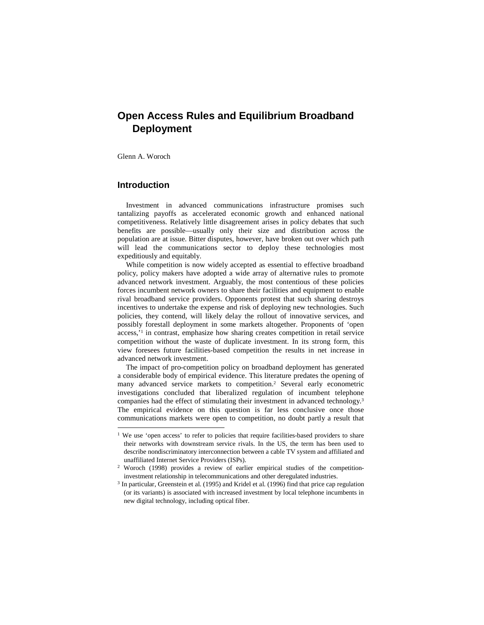# **Open Access Rules and Equilibrium Broadband Deployment**

Glenn A. Woroch

# **Introduction**

1

Investment in advanced communications infrastructure promises such tantalizing payoffs as accelerated economic growth and enhanced national competitiveness. Relatively little disagreement arises in policy debates that such benefits are possible—usually only their size and distribution across the population are at issue. Bitter disputes, however, have broken out over which path will lead the communications sector to deploy these technologies most expeditiously and equitably.

While competition is now widely accepted as essential to effective broadband policy, policy makers have adopted a wide array of alternative rules to promote advanced network investment. Arguably, the most contentious of these policies forces incumbent network owners to share their facilities and equipment to enable rival broadband service providers. Opponents protest that such sharing destroys incentives to undertake the expense and risk of deploying new technologies. Such policies, they contend, will likely delay the rollout of innovative services, and possibly forestall deployment in some markets altogether. Proponents of 'open access,'1 in contrast, emphasize how sharing creates competition in retail service competition without the waste of duplicate investment. In its strong form, this view foresees future facilities-based competition the results in net increase in advanced network investment.

The impact of pro-competition policy on broadband deployment has generated a considerable body of empirical evidence. This literature predates the opening of many advanced service markets to competition.2 Several early econometric investigations concluded that liberalized regulation of incumbent telephone companies had the effect of stimulating their investment in advanced technology.3 The empirical evidence on this question is far less conclusive once those communications markets were open to competition, no doubt partly a result that

<sup>&</sup>lt;sup>1</sup> We use 'open access' to refer to policies that require facilities-based providers to share their networks with downstream service rivals. In the US, the term has been used to describe nondiscriminatory interconnection between a cable TV system and affiliated and

unaffiliated Internet Service Providers (ISPs). 2 Woroch (1998) provides a review of earlier empirical studies of the competitioninvestment relationship in telecommunications and other deregulated industries.<br><sup>3</sup> In particular, Greenstein et al. (1995) and Kridel et al. (1996) find that price cap regulation

<sup>(</sup>or its variants) is associated with increased investment by local telephone incumbents in new digital technology, including optical fiber.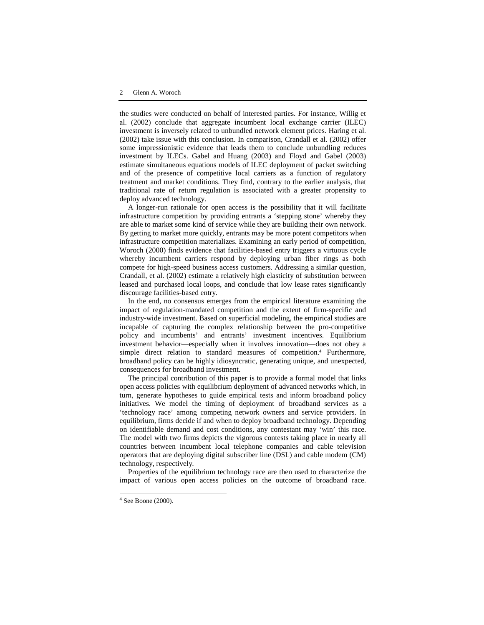the studies were conducted on behalf of interested parties. For instance, Willig et al. (2002) conclude that aggregate incumbent local exchange carrier (ILEC) investment is inversely related to unbundled network element prices. Haring et al. (2002) take issue with this conclusion. In comparison, Crandall et al. (2002) offer some impressionistic evidence that leads them to conclude unbundling reduces investment by ILECs. Gabel and Huang (2003) and Floyd and Gabel (2003) estimate simultaneous equations models of ILEC deployment of packet switching and of the presence of competitive local carriers as a function of regulatory treatment and market conditions. They find, contrary to the earlier analysis, that traditional rate of return regulation is associated with a greater propensity to deploy advanced technology.

A longer-run rationale for open access is the possibility that it will facilitate infrastructure competition by providing entrants a 'stepping stone' whereby they are able to market some kind of service while they are building their own network. By getting to market more quickly, entrants may be more potent competitors when infrastructure competition materializes. Examining an early period of competition, Woroch (2000) finds evidence that facilities-based entry triggers a virtuous cycle whereby incumbent carriers respond by deploying urban fiber rings as both compete for high-speed business access customers. Addressing a similar question, Crandall, et al. (2002) estimate a relatively high elasticity of substitution between leased and purchased local loops, and conclude that low lease rates significantly discourage facilities-based entry.

In the end, no consensus emerges from the empirical literature examining the impact of regulation-mandated competition and the extent of firm-specific and industry-wide investment. Based on superficial modeling, the empirical studies are incapable of capturing the complex relationship between the pro-competitive policy and incumbents' and entrants' investment incentives. Equilibrium investment behavior—especially when it involves innovation—does not obey a simple direct relation to standard measures of competition.<sup>4</sup> Furthermore, broadband policy can be highly idiosyncratic, generating unique, and unexpected, consequences for broadband investment.

The principal contribution of this paper is to provide a formal model that links open access policies with equilibrium deployment of advanced networks which, in turn, generate hypotheses to guide empirical tests and inform broadband policy initiatives. We model the timing of deployment of broadband services as a 'technology race' among competing network owners and service providers. In equilibrium, firms decide if and when to deploy broadband technology. Depending on identifiable demand and cost conditions, any contestant may 'win' this race. The model with two firms depicts the vigorous contests taking place in nearly all countries between incumbent local telephone companies and cable television operators that are deploying digital subscriber line (DSL) and cable modem (CM) technology, respectively.

Properties of the equilibrium technology race are then used to characterize the impact of various open access policies on the outcome of broadband race.

1

<sup>4</sup> See Boone (2000).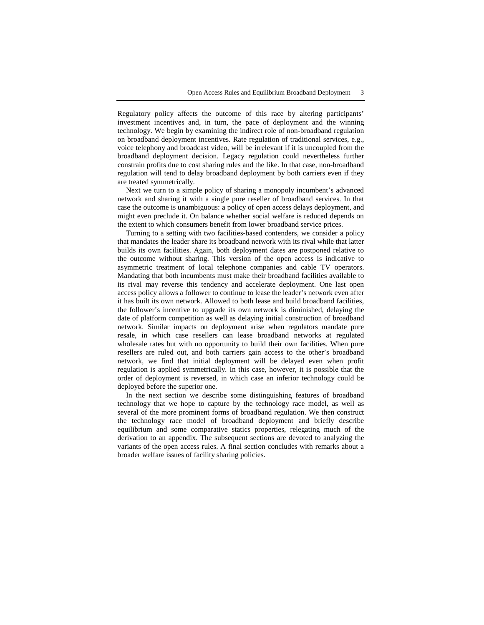Regulatory policy affects the outcome of this race by altering participants' investment incentives and, in turn, the pace of deployment and the winning technology. We begin by examining the indirect role of non-broadband regulation on broadband deployment incentives. Rate regulation of traditional services, e.g., voice telephony and broadcast video, will be irrelevant if it is uncoupled from the broadband deployment decision. Legacy regulation could nevertheless further constrain profits due to cost sharing rules and the like. In that case, non-broadband regulation will tend to delay broadband deployment by both carriers even if they are treated symmetrically.

Next we turn to a simple policy of sharing a monopoly incumbent's advanced network and sharing it with a single pure reseller of broadband services. In that case the outcome is unambiguous: a policy of open access delays deployment, and might even preclude it. On balance whether social welfare is reduced depends on the extent to which consumers benefit from lower broadband service prices.

Turning to a setting with two facilities-based contenders, we consider a policy that mandates the leader share its broadband network with its rival while that latter builds its own facilities. Again, both deployment dates are postponed relative to the outcome without sharing. This version of the open access is indicative to asymmetric treatment of local telephone companies and cable TV operators. Mandating that both incumbents must make their broadband facilities available to its rival may reverse this tendency and accelerate deployment. One last open access policy allows a follower to continue to lease the leader's network even after it has built its own network. Allowed to both lease and build broadband facilities, the follower's incentive to upgrade its own network is diminished, delaying the date of platform competition as well as delaying initial construction of broadband network. Similar impacts on deployment arise when regulators mandate pure resale, in which case resellers can lease broadband networks at regulated wholesale rates but with no opportunity to build their own facilities. When pure resellers are ruled out, and both carriers gain access to the other's broadband network, we find that initial deployment will be delayed even when profit regulation is applied symmetrically. In this case, however, it is possible that the order of deployment is reversed, in which case an inferior technology could be deployed before the superior one.

In the next section we describe some distinguishing features of broadband technology that we hope to capture by the technology race model, as well as several of the more prominent forms of broadband regulation. We then construct the technology race model of broadband deployment and briefly describe equilibrium and some comparative statics properties, relegating much of the derivation to an appendix. The subsequent sections are devoted to analyzing the variants of the open access rules. A final section concludes with remarks about a broader welfare issues of facility sharing policies.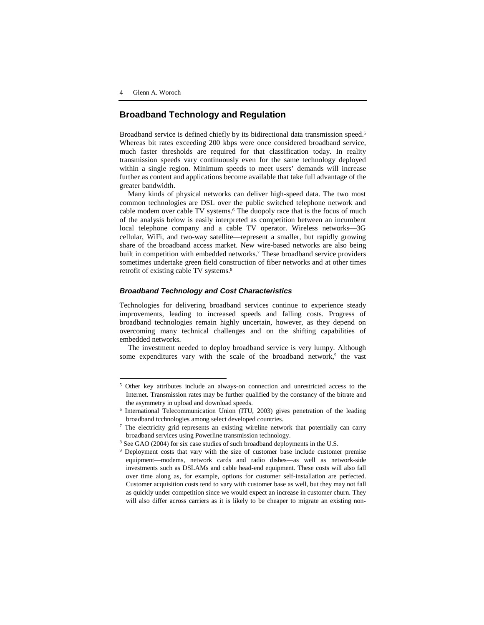1

# **Broadband Technology and Regulation**

Broadband service is defined chiefly by its bidirectional data transmission speed.<sup>5</sup> Whereas bit rates exceeding 200 kbps were once considered broadband service, much faster thresholds are required for that classification today. In reality transmission speeds vary continuously even for the same technology deployed within a single region. Minimum speeds to meet users' demands will increase further as content and applications become available that take full advantage of the greater bandwidth.

Many kinds of physical networks can deliver high-speed data. The two most common technologies are DSL over the public switched telephone network and cable modem over cable TV systems.<sup>6</sup> The duopoly race that is the focus of much of the analysis below is easily interpreted as competition between an incumbent local telephone company and a cable TV operator. Wireless networks—3G cellular, WiFi, and two-way satellite—represent a smaller, but rapidly growing share of the broadband access market. New wire-based networks are also being built in competition with embedded networks.<sup>7</sup> These broadband service providers sometimes undertake green field construction of fiber networks and at other times retrofit of existing cable TV systems.8

#### *Broadband Technology and Cost Characteristics*

Technologies for delivering broadband services continue to experience steady improvements, leading to increased speeds and falling costs. Progress of broadband technologies remain highly uncertain, however, as they depend on overcoming many technical challenges and on the shifting capabilities of embedded networks.

The investment needed to deploy broadband service is very lumpy. Although some expenditures vary with the scale of the broadband network,<sup>9</sup> the vast

<sup>5</sup> Other key attributes include an always-on connection and unrestricted access to the Internet. Transmission rates may be further qualified by the constancy of the bitrate and the asymmetry in upload and download speeds.<br><sup>6</sup> International Telecommunication Union (ITU, 2003) gives penetration of the leading

broadband tcchnologies among select developed countries. 7 The electricity grid represents an existing wireline network that potentially can carry

broadband services using Powerline transmission technology. 8 See GAO (2004) for six case studies of such broadband deployments in the U.S.

<sup>&</sup>lt;sup>9</sup> Deployment costs that vary with the size of customer base include customer premise equipment—modems, network cards and radio dishes—as well as network-side investments such as DSLAMs and cable head-end equipment. These costs will also fall over time along as, for example, options for customer self-installation are perfected. Customer acquisition costs tend to vary with customer base as well, but they may not fall as quickly under competition since we would expect an increase in customer churn. They will also differ across carriers as it is likely to be cheaper to migrate an existing non-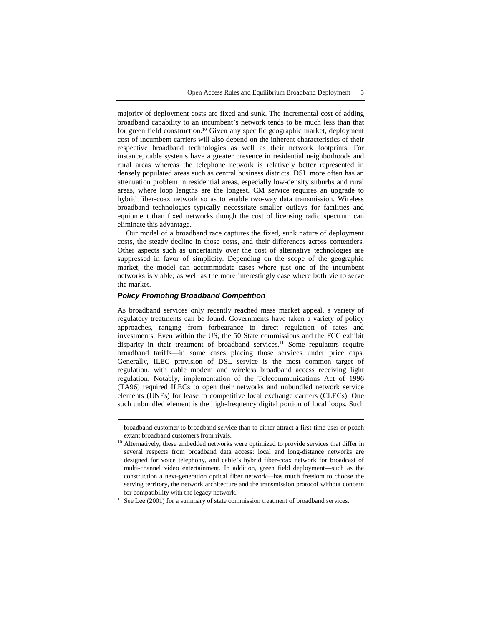majority of deployment costs are fixed and sunk. The incremental cost of adding broadband capability to an incumbent's network tends to be much less than that for green field construction.<sup>10</sup> Given any specific geographic market, deployment cost of incumbent carriers will also depend on the inherent characteristics of their respective broadband technologies as well as their network footprints. For instance, cable systems have a greater presence in residential neighborhoods and rural areas whereas the telephone network is relatively better represented in densely populated areas such as central business districts. DSL more often has an attenuation problem in residential areas, especially low-density suburbs and rural areas, where loop lengths are the longest. CM service requires an upgrade to hybrid fiber-coax network so as to enable two-way data transmission. Wireless broadband technologies typically necessitate smaller outlays for facilities and equipment than fixed networks though the cost of licensing radio spectrum can eliminate this advantage.

Our model of a broadband race captures the fixed, sunk nature of deployment costs, the steady decline in those costs, and their differences across contenders. Other aspects such as uncertainty over the cost of alternative technologies are suppressed in favor of simplicity. Depending on the scope of the geographic market, the model can accommodate cases where just one of the incumbent networks is viable, as well as the more interestingly case where both vie to serve the market.

#### *Policy Promoting Broadband Competition*

l

As broadband services only recently reached mass market appeal, a variety of regulatory treatments can be found. Governments have taken a variety of policy approaches, ranging from forbearance to direct regulation of rates and investments. Even within the US, the 50 State commissions and the FCC exhibit disparity in their treatment of broadband services.<sup>11</sup> Some regulators require broadband tariffs—in some cases placing those services under price caps. Generally, ILEC provision of DSL service is the most common target of regulation, with cable modem and wireless broadband access receiving light regulation. Notably, implementation of the Telecommunications Act of 1996 (TA96) required ILECs to open their networks and unbundled network service elements (UNEs) for lease to competitive local exchange carriers (CLECs). One such unbundled element is the high-frequency digital portion of local loops. Such

broadband customer to broadband service than to either attract a first-time user or poach extant broadband customers from rivals.<br><sup>10</sup> Alternatively, these embedded networks were optimized to provide services that differ in

several respects from broadband data access: local and long-distance networks are designed for voice telephony, and cable's hybrid fiber-coax network for broadcast of multi-channel video entertainment. In addition, green field deployment—such as the construction a next-generation optical fiber network—has much freedom to choose the serving territory, the network architecture and the transmission protocol without concern<br>for compatibility with the legacy network.

 $11$  See Lee (2001) for a summary of state commission treatment of broadband services.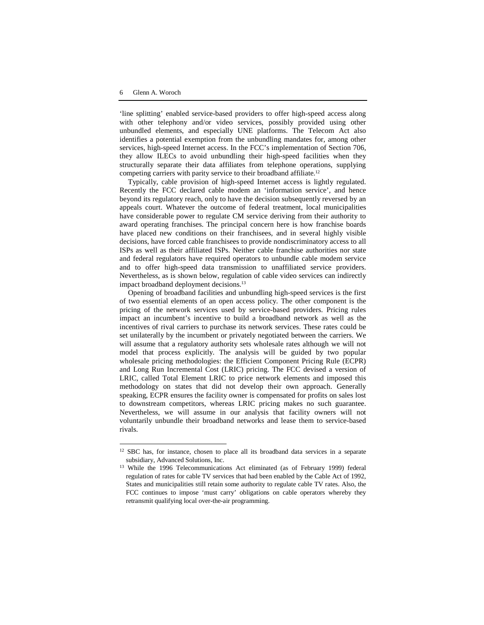<u>.</u>

'line splitting' enabled service-based providers to offer high-speed access along with other telephony and/or video services, possibly provided using other unbundled elements, and especially UNE platforms. The Telecom Act also identifies a potential exemption from the unbundling mandates for, among other services, high-speed Internet access. In the FCC's implementation of Section 706, they allow ILECs to avoid unbundling their high-speed facilities when they structurally separate their data affiliates from telephone operations, supplying competing carriers with parity service to their broadband affiliate.<sup>12</sup>

Typically, cable provision of high-speed Internet access is lightly regulated. Recently the FCC declared cable modem an 'information service', and hence beyond its regulatory reach, only to have the decision subsequently reversed by an appeals court. Whatever the outcome of federal treatment, local municipalities have considerable power to regulate CM service deriving from their authority to award operating franchises. The principal concern here is how franchise boards have placed new conditions on their franchisees, and in several highly visible decisions, have forced cable franchisees to provide nondiscriminatory access to all ISPs as well as their affiliated ISPs. Neither cable franchise authorities nor state and federal regulators have required operators to unbundle cable modem service and to offer high-speed data transmission to unaffiliated service providers. Nevertheless, as is shown below, regulation of cable video services can indirectly impact broadband deployment decisions.<sup>13</sup>

Opening of broadband facilities and unbundling high-speed services is the first of two essential elements of an open access policy. The other component is the pricing of the network services used by service-based providers. Pricing rules impact an incumbent's incentive to build a broadband network as well as the incentives of rival carriers to purchase its network services. These rates could be set unilaterally by the incumbent or privately negotiated between the carriers. We will assume that a regulatory authority sets wholesale rates although we will not model that process explicitly. The analysis will be guided by two popular wholesale pricing methodologies: the Efficient Component Pricing Rule (ECPR) and Long Run Incremental Cost (LRIC) pricing. The FCC devised a version of LRIC, called Total Element LRIC to price network elements and imposed this methodology on states that did not develop their own approach. Generally speaking, ECPR ensures the facility owner is compensated for profits on sales lost to downstream competitors, whereas LRIC pricing makes no such guarantee. Nevertheless, we will assume in our analysis that facility owners will not voluntarily unbundle their broadband networks and lease them to service-based rivals.

<sup>&</sup>lt;sup>12</sup> SBC has, for instance, chosen to place all its broadband data services in a separate subsidiary, Advanced Solutions, Inc. 13 While the 1996 Telecommunications Act eliminated (as of February 1999) federal

regulation of rates for cable TV services that had been enabled by the Cable Act of 1992, States and municipalities still retain some authority to regulate cable TV rates. Also, the FCC continues to impose 'must carry' obligations on cable operators whereby they retransmit qualifying local over-the-air programming.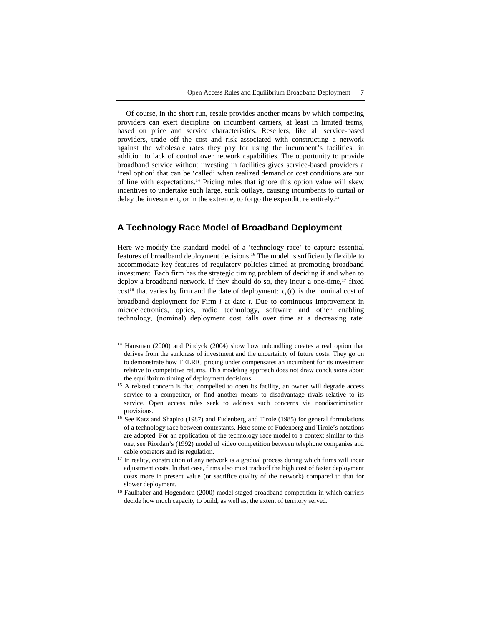Of course, in the short run, resale provides another means by which competing providers can exert discipline on incumbent carriers, at least in limited terms, based on price and service characteristics. Resellers, like all service-based providers, trade off the cost and risk associated with constructing a network against the wholesale rates they pay for using the incumbent's facilities, in addition to lack of control over network capabilities. The opportunity to provide broadband service without investing in facilities gives service-based providers a 'real option' that can be 'called' when realized demand or cost conditions are out of line with expectations.14 Pricing rules that ignore this option value will skew incentives to undertake such large, sunk outlays, causing incumbents to curtail or delay the investment, or in the extreme, to forgo the expenditure entirely.<sup>15</sup>

# **A Technology Race Model of Broadband Deployment**

Here we modify the standard model of a 'technology race' to capture essential features of broadband deployment decisions.16 The model is sufficiently flexible to accommodate key features of regulatory policies aimed at promoting broadband investment. Each firm has the strategic timing problem of deciding if and when to deploy a broadband network. If they should do so, they incur a one-time,<sup>17</sup> fixed cost<sup>18</sup> that varies by firm and the date of deployment:  $c_i(t)$  is the nominal cost of broadband deployment for Firm *i* at date *t*. Due to continuous improvement in microelectronics, optics, radio technology, software and other enabling technology, (nominal) deployment cost falls over time at a decreasing rate:

1

<sup>&</sup>lt;sup>14</sup> Hausman (2000) and Pindyck (2004) show how unbundling creates a real option that derives from the sunkness of investment and the uncertainty of future costs. They go on to demonstrate how TELRIC pricing under compensates an incumbent for its investment relative to competitive returns. This modeling approach does not draw conclusions about the equilibrium timing of deployment decisions.<br><sup>15</sup> A related concern is that, compelled to open its facility, an owner will degrade access

service to a competitor, or find another means to disadvantage rivals relative to its service. Open access rules seek to address such concerns via nondiscrimination provisions. 16 See Katz and Shapiro (1987) and Fudenberg and Tirole (1985) for general formulations

of a technology race between contestants. Here some of Fudenberg and Tirole's notations are adopted. For an application of the technology race model to a context similar to this one, see Riordan's (1992) model of video competition between telephone companies and

cable operators and its regulation. 17 In reality, construction of any network is a gradual process during which firms will incur adjustment costs. In that case, firms also must tradeoff the high cost of faster deployment costs more in present value (or sacrifice quality of the network) compared to that for

slower deployment. 18 Faulhaber and Hogendorn (2000) model staged broadband competition in which carriers decide how much capacity to build, as well as, the extent of territory served.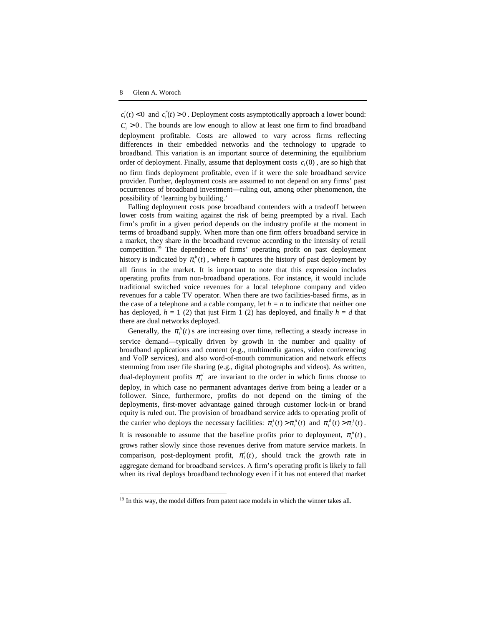1

 $c'_{i}(t) < 0$  and  $c''_{i}(t) > 0$ . Deployment costs asymptotically approach a lower bound:

 $C_i > 0$ . The bounds are low enough to allow at least one firm to find broadband deployment profitable. Costs are allowed to vary across firms reflecting differences in their embedded networks and the technology to upgrade to broadband. This variation is an important source of determining the equilibrium order of deployment. Finally, assume that deployment costs  $c<sub>i</sub>(0)$ , are so high that no firm finds deployment profitable, even if it were the sole broadband service provider. Further, deployment costs are assumed to not depend on any firms' past occurrences of broadband investment—ruling out, among other phenomenon, the possibility of 'learning by building.'

Falling deployment costs pose broadband contenders with a tradeoff between lower costs from waiting against the risk of being preempted by a rival. Each firm's profit in a given period depends on the industry profile at the moment in terms of broadband supply. When more than one firm offers broadband service in a market, they share in the broadband revenue according to the intensity of retail competition.19 The dependence of firms' operating profit on past deployment history is indicated by  $\pi_i^h(t)$ , where *h* captures the history of past deployment by all firms in the market. It is important to note that this expression includes operating profits from non-broadband operations. For instance, it would include traditional switched voice revenues for a local telephone company and video revenues for a cable TV operator. When there are two facilities-based firms, as in the case of a telephone and a cable company, let  $h = n$  to indicate that neither one has deployed,  $h = 1$  (2) that just Firm 1 (2) has deployed, and finally  $h = d$  that there are dual networks deployed.

Generally, the  $\pi_i^h(t)$  s are increasing over time, reflecting a steady increase in service demand—typically driven by growth in the number and quality of broadband applications and content (e.g., multimedia games, video conferencing and VoIP services), and also word-of-mouth communication and network effects stemming from user file sharing (e.g., digital photographs and videos). As written, dual-deployment profits  $\pi_i^d$  are invariant to the order in which firms choose to deploy, in which case no permanent advantages derive from being a leader or a follower. Since, furthermore, profits do not depend on the timing of the deployments, first-mover advantage gained through customer lock-in or brand equity is ruled out. The provision of broadband service adds to operating profit of the carrier who deploys the necessary facilities:  $\pi_i^i(t) > \pi_i^i(t)$  and  $\pi_i^d(t) > \pi_i^j(t)$ . It is reasonable to assume that the baseline profits prior to deployment,  $\pi_i^n(t)$ , grows rather slowly since those revenues derive from mature service markets. In comparison, post-deployment profit,  $\pi_i^i(t)$ , should track the growth rate in aggregate demand for broadband services. A firm's operating profit is likely to fall when its rival deploys broadband technology even if it has not entered that market

 $19$  In this way, the model differs from patent race models in which the winner takes all.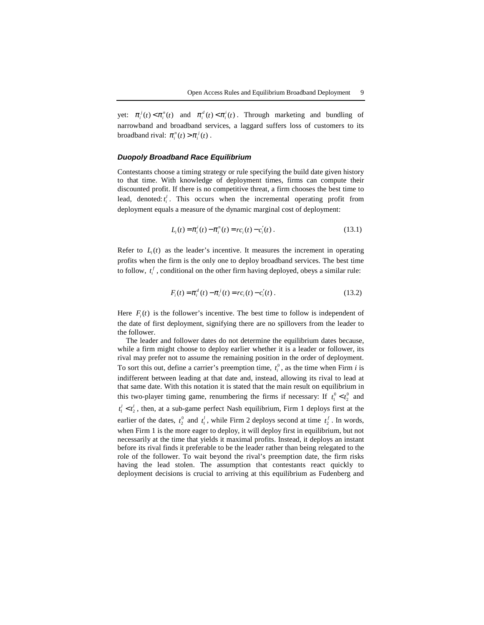yet:  $\pi_i^j(t) < \pi_i^n(t)$  and  $\pi_i^d(t) < \pi_i^i(t)$ . Through marketing and bundling of narrowband and broadband services, a laggard suffers loss of customers to its broadband rival:  $\pi_i^n(t) > \pi_i^j(t)$ .

#### *Duopoly Broadband Race Equilibrium*

Contestants choose a timing strategy or rule specifying the build date given history to that time. With knowledge of deployment times, firms can compute their discounted profit. If there is no competitive threat, a firm chooses the best time to lead, denoted:  $t_i^l$ . This occurs when the incremental operating profit from deployment equals a measure of the dynamic marginal cost of deployment:

$$
L_i(t) = \pi_i^i(t) - \pi_i^n(t) = rc_i(t) - c_i'(t).
$$
 (13.1)

Refer to  $L<sub>i</sub>(t)$  as the leader's incentive. It measures the increment in operating profits when the firm is the only one to deploy broadband services. The best time to follow,  $t_i^f$ , conditional on the other firm having deployed, obeys a similar rule:

$$
F_i(t) = \pi_i^d(t) - \pi_i^j(t) = rc_i(t) - c_i'(t).
$$
\n(13.2)

Here  $F_i(t)$  is the follower's incentive. The best time to follow is independent of the date of first deployment, signifying there are no spillovers from the leader to the follower.

The leader and follower dates do not determine the equilibrium dates because, while a firm might choose to deploy earlier whether it is a leader or follower, its rival may prefer not to assume the remaining position in the order of deployment. To sort this out, define a carrier's preemption time,  $t_i^0$ , as the time when Firm *i* is indifferent between leading at that date and, instead, allowing its rival to lead at that same date. With this notation it is stated that the main result on equilibrium in this two-player timing game, renumbering the firms if necessary: If  $t_1^0 < t_2^0$  and  $t_1^l < t_2^l$ , then, at a sub-game perfect Nash equilibrium, Firm 1 deploys first at the earlier of the dates,  $t_2^0$  and  $t_1^j$ , while Firm 2 deploys second at time  $t_2^f$ . In words, when Firm 1 is the more eager to deploy, it will deploy first in equilibrium, but not necessarily at the time that yields it maximal profits. Instead, it deploys an instant before its rival finds it preferable to be the leader rather than being relegated to the role of the follower. To wait beyond the rival's preemption date, the firm risks having the lead stolen. The assumption that contestants react quickly to deployment decisions is crucial to arriving at this equilibrium as Fudenberg and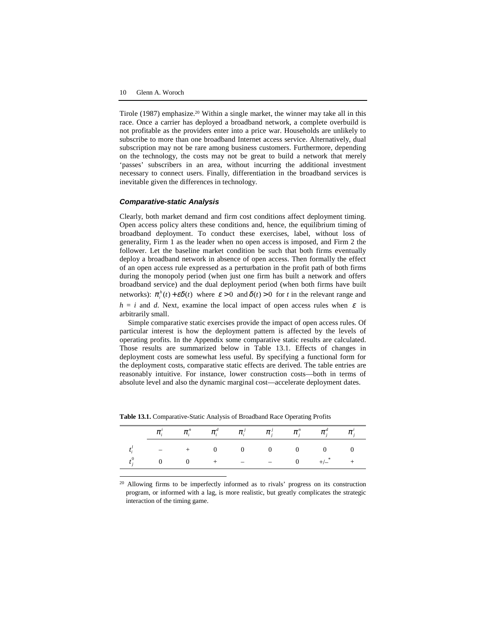Tirole (1987) emphasize.<sup>20</sup> Within a single market, the winner may take all in this race. Once a carrier has deployed a broadband network, a complete overbuild is not profitable as the providers enter into a price war. Households are unlikely to subscribe to more than one broadband Internet access service. Alternatively, dual subscription may not be rare among business customers. Furthermore, depending on the technology, the costs may not be great to build a network that merely 'passes' subscribers in an area, without incurring the additional investment necessary to connect users. Finally, differentiation in the broadband services is inevitable given the differences in technology.

#### *Comparative-static Analysis*

1

Clearly, both market demand and firm cost conditions affect deployment timing. Open access policy alters these conditions and, hence, the equilibrium timing of broadband deployment. To conduct these exercises, label, without loss of generality, Firm 1 as the leader when no open access is imposed, and Firm 2 the follower. Let the baseline market condition be such that both firms eventually deploy a broadband network in absence of open access. Then formally the effect of an open access rule expressed as a perturbation in the profit path of both firms during the monopoly period (when just one firm has built a network and offers broadband service) and the dual deployment period (when both firms have built networks):  $\pi_i^h(t) + \varepsilon \delta(t)$  where  $\varepsilon > 0$  and  $\delta(t) > 0$  for *t* in the relevant range and  $h = i$  and *d*. Next, examine the local impact of open access rules when  $\varepsilon$  is arbitrarily small.

Simple comparative static exercises provide the impact of open access rules. Of particular interest is how the deployment pattern is affected by the levels of operating profits. In the Appendix some comparative static results are calculated. Those results are summarized below in Table 13.1. Effects of changes in deployment costs are somewhat less useful. By specifying a functional form for the deployment costs, comparative static effects are derived. The table entries are reasonably intuitive. For instance, lower construction costs—both in terms of absolute level and also the dynamic marginal cost—accelerate deployment dates.

|  | $\pi$ <sup>n</sup> | $\pi$ <sup>a</sup> | $\pi$ <sup>'</sup> , $\pi$ <sup>'</sup> <sub>i</sub> | $\pi$ <sup>n</sup> | $\frac{1}{2}$ |  |
|--|--------------------|--------------------|------------------------------------------------------|--------------------|---------------|--|
|  |                    |                    |                                                      |                    |               |  |
|  |                    | $0 +$              |                                                      |                    |               |  |

**Table 13.1.** Comparative-Static Analysis of Broadband Race Operating Profits

20 Allowing firms to be imperfectly informed as to rivals' progress on its construction program, or informed with a lag, is more realistic, but greatly complicates the strategic interaction of the timing game.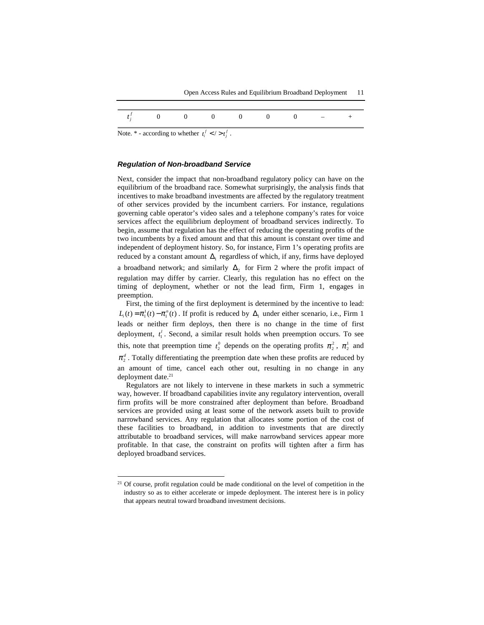

Note.  $*$  - according to whether  $t_i^f \lt / \gt t_j^f$ .

1

#### *Regulation of Non-broadband Service*

Next, consider the impact that non-broadband regulatory policy can have on the equilibrium of the broadband race. Somewhat surprisingly, the analysis finds that incentives to make broadband investments are affected by the regulatory treatment of other services provided by the incumbent carriers. For instance, regulations governing cable operator's video sales and a telephone company's rates for voice services affect the equilibrium deployment of broadband services indirectly. To begin, assume that regulation has the effect of reducing the operating profits of the two incumbents by a fixed amount and that this amount is constant over time and independent of deployment history. So, for instance, Firm 1's operating profits are reduced by a constant amount  $\Delta_1$  regardless of which, if any, firms have deployed a broadband network; and similarly  $\Delta$ , for Firm 2 where the profit impact of regulation may differ by carrier. Clearly, this regulation has no effect on the timing of deployment, whether or not the lead firm, Firm 1, engages in preemption.

First, the timing of the first deployment is determined by the incentive to lead:  $L_i(t) = \pi_1^1(t) - \pi_1^n(t)$ . If profit is reduced by  $\Delta_i$  under either scenario, i.e., Firm 1 leads or neither firm deploys, then there is no change in the time of first deployment,  $t_1^l$ . Second, a similar result holds when preemption occurs. To see this, note that preemption time  $t_2^0$  depends on the operating profits  $\pi_2^2$ ,  $\pi_2^1$  and  $\pi_2^d$ . Totally differentiating the preemption date when these profits are reduced by an amount of time, cancel each other out, resulting in no change in any deployment date.<sup>21</sup>

Regulators are not likely to intervene in these markets in such a symmetric way, however. If broadband capabilities invite any regulatory intervention, overall firm profits will be more constrained after deployment than before. Broadband services are provided using at least some of the network assets built to provide narrowband services. Any regulation that allocates some portion of the cost of these facilities to broadband, in addition to investments that are directly attributable to broadband services, will make narrowband services appear more profitable. In that case, the constraint on profits will tighten after a firm has deployed broadband services.

<sup>&</sup>lt;sup>21</sup> Of course, profit regulation could be made conditional on the level of competition in the industry so as to either accelerate or impede deployment. The interest here is in policy that appears neutral toward broadband investment decisions.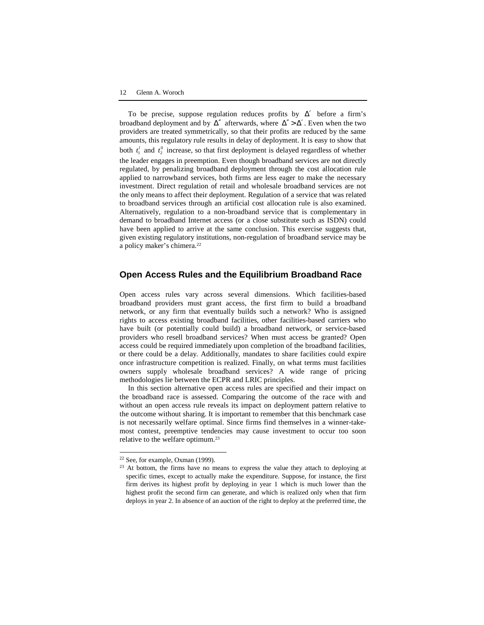To be precise, suppose regulation reduces profits by  $\Delta'$  before a firm's broadband deployment and by  $\Delta''$  afterwards, where  $\Delta'' > \Delta'$ . Even when the two providers are treated symmetrically, so that their profits are reduced by the same amounts, this regulatory rule results in delay of deployment. It is easy to show that both  $t_1^l$  and  $t_2^0$  increase, so that first deployment is delayed regardless of whether the leader engages in preemption. Even though broadband services are not directly regulated, by penalizing broadband deployment through the cost allocation rule applied to narrowband services, both firms are less eager to make the necessary investment. Direct regulation of retail and wholesale broadband services are not the only means to affect their deployment. Regulation of a service that was related to broadband services through an artificial cost allocation rule is also examined. Alternatively, regulation to a non-broadband service that is complementary in demand to broadband Internet access (or a close substitute such as ISDN) could have been applied to arrive at the same conclusion. This exercise suggests that, given existing regulatory institutions, non-regulation of broadband service may be a policy maker's chimera.22

# **Open Access Rules and the Equilibrium Broadband Race**

Open access rules vary across several dimensions. Which facilities-based broadband providers must grant access, the first firm to build a broadband network, or any firm that eventually builds such a network? Who is assigned rights to access existing broadband facilities, other facilities-based carriers who have built (or potentially could build) a broadband network, or service-based providers who resell broadband services? When must access be granted? Open access could be required immediately upon completion of the broadband facilities, or there could be a delay. Additionally, mandates to share facilities could expire once infrastructure competition is realized. Finally, on what terms must facilities owners supply wholesale broadband services? A wide range of pricing methodologies lie between the ECPR and LRIC principles.

In this section alternative open access rules are specified and their impact on the broadband race is assessed. Comparing the outcome of the race with and without an open access rule reveals its impact on deployment pattern relative to the outcome without sharing. It is important to remember that this benchmark case is not necessarily welfare optimal. Since firms find themselves in a winner-takemost contest, preemptive tendencies may cause investment to occur too soon relative to the welfare optimum.23

1

<sup>22</sup> See, for example, Oxman (1999).

<sup>&</sup>lt;sup>23</sup> At bottom, the firms have no means to express the value they attach to deploying at specific times, except to actually make the expenditure. Suppose, for instance, the first firm derives its highest profit by deploying in year 1 which is much lower than the highest profit the second firm can generate, and which is realized only when that firm deploys in year 2. In absence of an auction of the right to deploy at the preferred time, the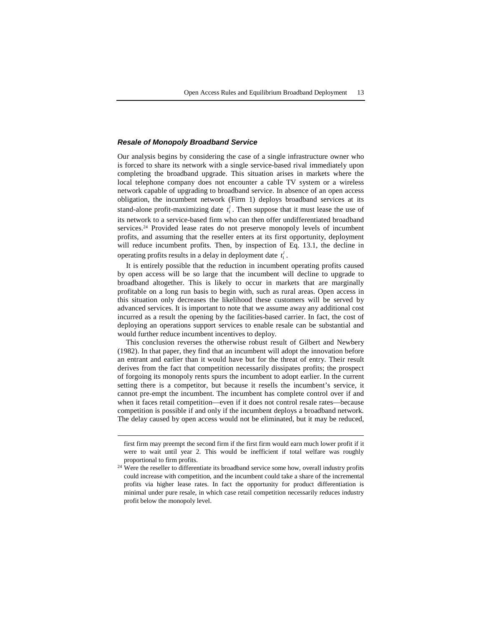#### *Resale of Monopoly Broadband Service*

l

Our analysis begins by considering the case of a single infrastructure owner who is forced to share its network with a single service-based rival immediately upon completing the broadband upgrade. This situation arises in markets where the local telephone company does not encounter a cable TV system or a wireless network capable of upgrading to broadband service. In absence of an open access obligation, the incumbent network (Firm 1) deploys broadband services at its stand-alone profit-maximizing date  $t_1^l$ . Then suppose that it must lease the use of its network to a service-based firm who can then offer undifferentiated broadband services.<sup>24</sup> Provided lease rates do not preserve monopoly levels of incumbent profits, and assuming that the reseller enters at its first opportunity, deployment will reduce incumbent profits. Then, by inspection of Eq. 13.1, the decline in operating profits results in a delay in deployment date  $t_1^l$ .

It is entirely possible that the reduction in incumbent operating profits caused by open access will be so large that the incumbent will decline to upgrade to broadband altogether. This is likely to occur in markets that are marginally profitable on a long run basis to begin with, such as rural areas. Open access in this situation only decreases the likelihood these customers will be served by advanced services. It is important to note that we assume away any additional cost incurred as a result the opening by the facilities-based carrier. In fact, the cost of deploying an operations support services to enable resale can be substantial and would further reduce incumbent incentives to deploy.

This conclusion reverses the otherwise robust result of Gilbert and Newbery (1982). In that paper, they find that an incumbent will adopt the innovation before an entrant and earlier than it would have but for the threat of entry. Their result derives from the fact that competition necessarily dissipates profits; the prospect of forgoing its monopoly rents spurs the incumbent to adopt earlier. In the current setting there is a competitor, but because it resells the incumbent's service, it cannot pre-empt the incumbent. The incumbent has complete control over if and when it faces retail competition—even if it does not control resale rates—because competition is possible if and only if the incumbent deploys a broadband network. The delay caused by open access would not be eliminated, but it may be reduced,

first firm may preempt the second firm if the first firm would earn much lower profit if it were to wait until year 2. This would be inefficient if total welfare was roughly proportional to firm profits. 24 Were the reseller to differentiate its broadband service some how, overall industry profits

could increase with competition, and the incumbent could take a share of the incremental profits via higher lease rates. In fact the opportunity for product differentiation is minimal under pure resale, in which case retail competition necessarily reduces industry profit below the monopoly level.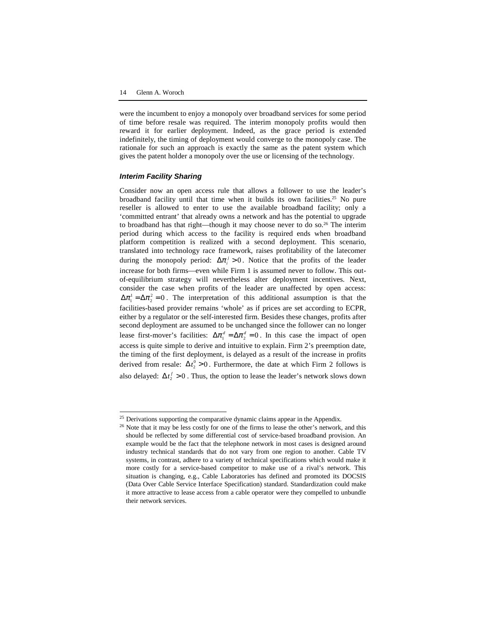were the incumbent to enjoy a monopoly over broadband services for some period of time before resale was required. The interim monopoly profits would then reward it for earlier deployment. Indeed, as the grace period is extended indefinitely, the timing of deployment would converge to the monopoly case. The rationale for such an approach is exactly the same as the patent system which gives the patent holder a monopoly over the use or licensing of the technology.

#### *Interim Facility Sharing*

<u>.</u>

Consider now an open access rule that allows a follower to use the leader's broadband facility until that time when it builds its own facilities.25 No pure reseller is allowed to enter to use the available broadband facility; only a 'committed entrant' that already owns a network and has the potential to upgrade to broadband has that right—though it may choose never to do so.26 The interim period during which access to the facility is required ends when broadband platform competition is realized with a second deployment. This scenario, translated into technology race framework, raises profitability of the latecomer during the monopoly period:  $\Delta \pi_i^j > 0$ . Notice that the profits of the leader increase for both firms—even while Firm 1 is assumed never to follow. This outof-equilibrium strategy will nevertheless alter deployment incentives. Next, consider the case when profits of the leader are unaffected by open access:  $\Delta \pi_1^1 = \Delta \pi_2^2 = 0$ . The interpretation of this additional assumption is that the facilities-based provider remains 'whole' as if prices are set according to ECPR, either by a regulator or the self-interested firm. Besides these changes, profits after second deployment are assumed to be unchanged since the follower can no longer lease first-mover's facilities:  $\Delta \pi_1^d = \Delta \pi_2^d = 0$ . In this case the impact of open access is quite simple to derive and intuitive to explain. Firm 2's preemption date, the timing of the first deployment, is delayed as a result of the increase in profits derived from resale:  $\Delta t_2^0 > 0$ . Furthermore, the date at which Firm 2 follows is also delayed:  $\Delta t_2^f > 0$ . Thus, the option to lease the leader's network slows down

<sup>&</sup>lt;sup>25</sup> Derivations supporting the comparative dynamic claims appear in the Appendix.<br><sup>26</sup> Note that it may be less costly for one of the firms to lease the other's network, and this

should be reflected by some differential cost of service-based broadband provision. An example would be the fact that the telephone network in most cases is designed around industry technical standards that do not vary from one region to another. Cable TV systems, in contrast, adhere to a variety of technical specifications which would make it more costly for a service-based competitor to make use of a rival's network. This situation is changing, e.g., Cable Laboratories has defined and promoted its DOCSIS (Data Over Cable Service Interface Specification) standard. Standardization could make it more attractive to lease access from a cable operator were they compelled to unbundle their network services.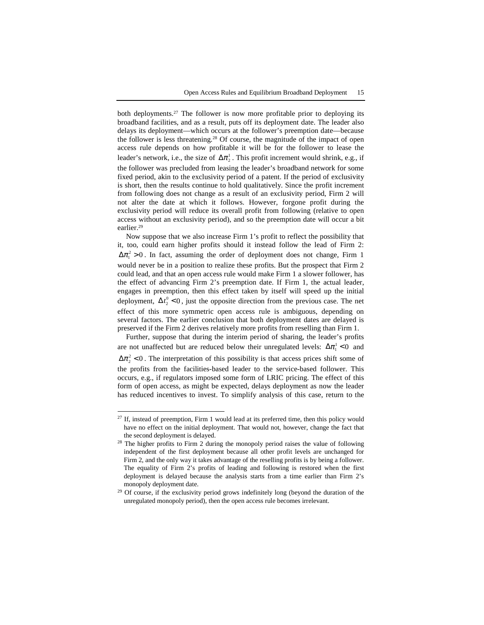both deployments.<sup>27</sup> The follower is now more profitable prior to deploying its broadband facilities, and as a result, puts off its deployment date. The leader also delays its deployment—which occurs at the follower's preemption date—because the follower is less threatening.<sup>28</sup> Of course, the magnitude of the impact of open access rule depends on how profitable it will be for the follower to lease the leader's network, i.e., the size of  $\Delta \pi^1$ . This profit increment would shrink, e.g., if the follower was precluded from leasing the leader's broadband network for some fixed period, akin to the exclusivity period of a patent. If the period of exclusivity is short, then the results continue to hold qualitatively. Since the profit increment from following does not change as a result of an exclusivity period, Firm 2 will not alter the date at which it follows. However, forgone profit during the exclusivity period will reduce its overall profit from following (relative to open access without an exclusivity period), and so the preemption date will occur a bit earlier.29

Now suppose that we also increase Firm 1's profit to reflect the possibility that it, too, could earn higher profits should it instead follow the lead of Firm 2:  $\Delta \pi_i^2 > 0$ . In fact, assuming the order of deployment does not change, Firm 1 would never be in a position to realize these profits. But the prospect that Firm 2 could lead, and that an open access rule would make Firm 1 a slower follower, has the effect of advancing Firm 2's preemption date. If Firm 1, the actual leader, engages in preemption, then this effect taken by itself will speed up the initial deployment,  $\Delta t_2^0$  < 0, just the opposite direction from the previous case. The net effect of this more symmetric open access rule is ambiguous, depending on several factors. The earlier conclusion that both deployment dates are delayed is preserved if the Firm 2 derives relatively more profits from reselling than Firm 1.

Further, suppose that during the interim period of sharing, the leader's profits are not unaffected but are reduced below their unregulated levels:  $\Delta \pi_1^1 < 0$  and  $\Delta \pi^2$  < 0. The interpretation of this possibility is that access prices shift some of the profits from the facilities-based leader to the service-based follower. This occurs, e.g., if regulators imposed some form of LRIC pricing. The effect of this form of open access, as might be expected, delays deployment as now the leader has reduced incentives to invest. To simplify analysis of this case, return to the

1

 $27$  If, instead of preemption, Firm 1 would lead at its preferred time, then this policy would have no effect on the initial deployment. That would not, however, change the fact that the second deployment is delayed.<br><sup>28</sup> The higher profits to Firm 2 during the monopoly period raises the value of following

independent of the first deployment because all other profit levels are unchanged for Firm 2, and the only way it takes advantage of the reselling profits is by being a follower. The equality of Firm 2's profits of leading and following is restored when the first deployment is delayed because the analysis starts from a time earlier than Firm 2's

monopoly deployment date.<br><sup>29</sup> Of course, if the exclusivity period grows indefinitely long (beyond the duration of the unregulated monopoly period), then the open access rule becomes irrelevant.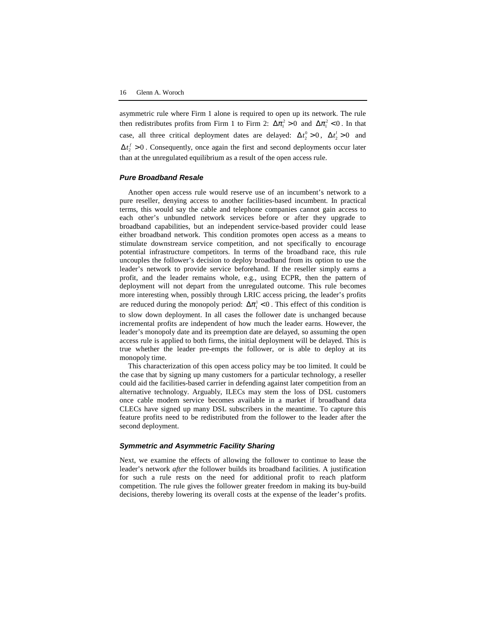asymmetric rule where Firm 1 alone is required to open up its network. The rule then redistributes profits from Firm 1 to Firm 2:  $\Delta \pi_1^2 > 0$  and  $\Delta \pi_1^2 < 0$ . In that case, all three critical deployment dates are delayed:  $\Delta t_2^0 > 0$ ,  $\Delta t_2^1 > 0$  and  $\Delta t_i^f > 0$ . Consequently, once again the first and second deployments occur later than at the unregulated equilibrium as a result of the open access rule.

#### *Pure Broadband Resale*

Another open access rule would reserve use of an incumbent's network to a pure reseller, denying access to another facilities-based incumbent. In practical terms, this would say the cable and telephone companies cannot gain access to each other's unbundled network services before or after they upgrade to broadband capabilities, but an independent service-based provider could lease either broadband network. This condition promotes open access as a means to stimulate downstream service competition, and not specifically to encourage potential infrastructure competitors. In terms of the broadband race, this rule uncouples the follower's decision to deploy broadband from its option to use the leader's network to provide service beforehand. If the reseller simply earns a profit, and the leader remains whole, e.g., using ECPR, then the pattern of deployment will not depart from the unregulated outcome. This rule becomes more interesting when, possibly through LRIC access pricing, the leader's profits are reduced during the monopoly period:  $\Delta \pi_i^1 < 0$ . This effect of this condition is to slow down deployment. In all cases the follower date is unchanged because incremental profits are independent of how much the leader earns. However, the leader's monopoly date and its preemption date are delayed, so assuming the open access rule is applied to both firms, the initial deployment will be delayed. This is true whether the leader pre-empts the follower, or is able to deploy at its monopoly time.

This characterization of this open access policy may be too limited. It could be the case that by signing up many customers for a particular technology, a reseller could aid the facilities-based carrier in defending against later competition from an alternative technology. Arguably, ILECs may stem the loss of DSL customers once cable modem service becomes available in a market if broadband data CLECs have signed up many DSL subscribers in the meantime. To capture this feature profits need to be redistributed from the follower to the leader after the second deployment.

#### *Symmetric and Asymmetric Facility Sharing*

Next, we examine the effects of allowing the follower to continue to lease the leader's network *after* the follower builds its broadband facilities. A justification for such a rule rests on the need for additional profit to reach platform competition. The rule gives the follower greater freedom in making its buy-build decisions, thereby lowering its overall costs at the expense of the leader's profits.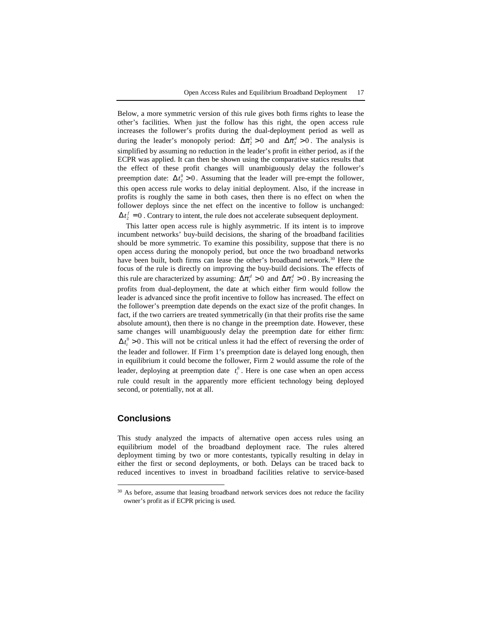Below, a more symmetric version of this rule gives both firms rights to lease the other's facilities. When just the follow has this right, the open access rule increases the follower's profits during the dual-deployment period as well as during the leader's monopoly period:  $\Delta \pi_2^1 > 0$  and  $\Delta \pi_2^d > 0$ . The analysis is simplified by assuming no reduction in the leader's profit in either period, as if the ECPR was applied. It can then be shown using the comparative statics results that the effect of these profit changes will unambiguously delay the follower's preemption date:  $\Delta t_2^0 > 0$ . Assuming that the leader will pre-empt the follower, this open access rule works to delay initial deployment. Also, if the increase in profits is roughly the same in both cases, then there is no effect on when the follower deploys since the net effect on the incentive to follow is unchanged:  $\Delta t_2^f = 0$ . Contrary to intent, the rule does not accelerate subsequent deployment.

This latter open access rule is highly asymmetric. If its intent is to improve incumbent networks' buy-build decisions, the sharing of the broadband facilities should be more symmetric. To examine this possibility, suppose that there is no open access during the monopoly period, but once the two broadband networks have been built, both firms can lease the other's broadband network.<sup>30</sup> Here the focus of the rule is directly on improving the buy-build decisions. The effects of this rule are characterized by assuming:  $\Delta \pi_1^d > 0$  and  $\Delta \pi_2^d > 0$ . By increasing the profits from dual-deployment, the date at which either firm would follow the leader is advanced since the profit incentive to follow has increased. The effect on the follower's preemption date depends on the exact size of the profit changes. In fact, if the two carriers are treated symmetrically (in that their profits rise the same absolute amount), then there is no change in the preemption date. However, these same changes will unambiguously delay the preemption date for either firm:  $\Delta t_i^0 > 0$ . This will not be critical unless it had the effect of reversing the order of the leader and follower. If Firm 1's preemption date is delayed long enough, then in equilibrium it could become the follower, Firm 2 would assume the role of the leader, deploying at preemption date  $t_i^0$ . Here is one case when an open access rule could result in the apparently more efficient technology being deployed second, or potentially, not at all.

# **Conclusions**

<u>.</u>

This study analyzed the impacts of alternative open access rules using an equilibrium model of the broadband deployment race. The rules altered deployment timing by two or more contestants, typically resulting in delay in either the first or second deployments, or both. Delays can be traced back to reduced incentives to invest in broadband facilities relative to service-based

<sup>&</sup>lt;sup>30</sup> As before, assume that leasing broadband network services does not reduce the facility owner's profit as if ECPR pricing is used.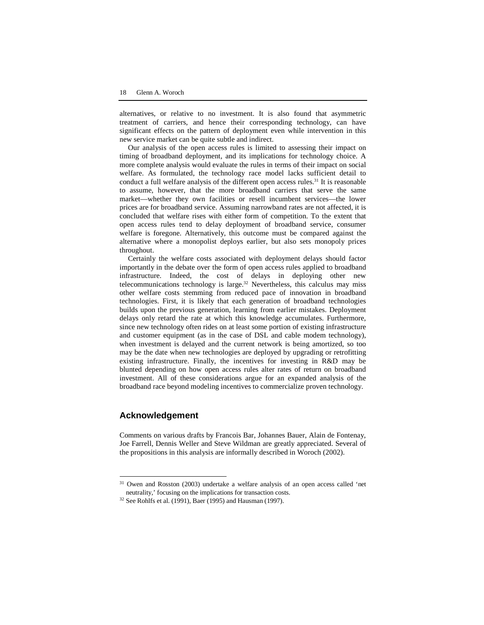alternatives, or relative to no investment. It is also found that asymmetric treatment of carriers, and hence their corresponding technology, can have significant effects on the pattern of deployment even while intervention in this new service market can be quite subtle and indirect.

Our analysis of the open access rules is limited to assessing their impact on timing of broadband deployment, and its implications for technology choice. A more complete analysis would evaluate the rules in terms of their impact on social welfare. As formulated, the technology race model lacks sufficient detail to conduct a full welfare analysis of the different open access rules.<sup>31</sup> It is reasonable to assume, however, that the more broadband carriers that serve the same market—whether they own facilities or resell incumbent services—the lower prices are for broadband service. Assuming narrowband rates are not affected, it is concluded that welfare rises with either form of competition. To the extent that open access rules tend to delay deployment of broadband service, consumer welfare is foregone. Alternatively, this outcome must be compared against the alternative where a monopolist deploys earlier, but also sets monopoly prices throughout.

Certainly the welfare costs associated with deployment delays should factor importantly in the debate over the form of open access rules applied to broadband infrastructure. Indeed, the cost of delays in deploying other new telecommunications technology is large. $32$  Nevertheless, this calculus may miss other welfare costs stemming from reduced pace of innovation in broadband technologies. First, it is likely that each generation of broadband technologies builds upon the previous generation, learning from earlier mistakes. Deployment delays only retard the rate at which this knowledge accumulates. Furthermore, since new technology often rides on at least some portion of existing infrastructure and customer equipment (as in the case of DSL and cable modem technology), when investment is delayed and the current network is being amortized, so too may be the date when new technologies are deployed by upgrading or retrofitting existing infrastructure. Finally, the incentives for investing in R&D may be blunted depending on how open access rules alter rates of return on broadband investment. All of these considerations argue for an expanded analysis of the broadband race beyond modeling incentives to commercialize proven technology.

# **Acknowledgement**

1

Comments on various drafts by Francois Bar, Johannes Bauer, Alain de Fontenay, Joe Farrell, Dennis Weller and Steve Wildman are greatly appreciated. Several of the propositions in this analysis are informally described in Woroch (2002).

<sup>31</sup> Owen and Rosston (2003) undertake a welfare analysis of an open access called 'net neutrality,' focusing on the implications for transaction costs.<br><sup>32</sup> See Rohlfs et al. (1991), Baer (1995) and Hausman (1997).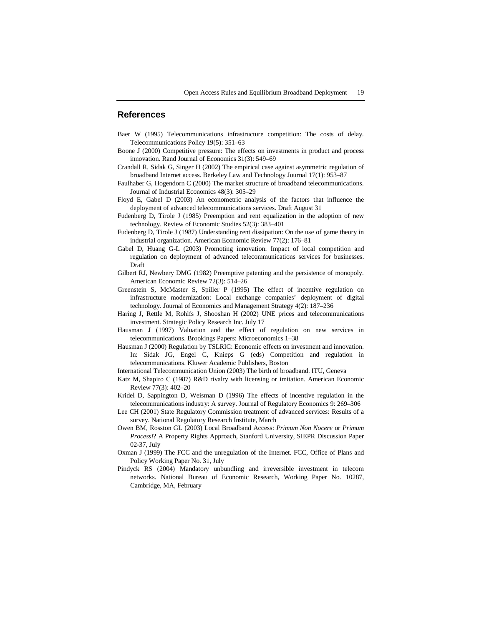# **References**

- Baer W (1995) Telecommunications infrastructure competition: The costs of delay. Telecommunications Policy 19(5): 351–63
- Boone J (2000) Competitive pressure: The effects on investments in product and process innovation. Rand Journal of Economics 31(3): 549–69
- Crandall R, Sidak G, Singer H (2002) The empirical case against asymmetric regulation of broadband Internet access. Berkeley Law and Technology Journal 17(1): 953–87
- Faulhaber G, Hogendorn C (2000) The market structure of broadband telecommunications. Journal of Industrial Economics 48(3): 305–29
- Floyd E, Gabel D (2003) An econometric analysis of the factors that influence the deployment of advanced telecommunications services. Draft August 31
- Fudenberg D, Tirole J (1985) Preemption and rent equalization in the adoption of new technology. Review of Economic Studies 52(3): 383–401
- Fudenberg D, Tirole J (1987) Understanding rent dissipation: On the use of game theory in industrial organization. American Economic Review 77(2): 176–81
- Gabel D, Huang G-L (2003) Promoting innovation: Impact of local competition and regulation on deployment of advanced telecommunications services for businesses. Draft
- Gilbert RJ, Newbery DMG (1982) Preemptive patenting and the persistence of monopoly. American Economic Review 72(3): 514–26
- Greenstein S, McMaster S, Spiller P (1995) The effect of incentive regulation on infrastructure modernization: Local exchange companies' deployment of digital technology. Journal of Economics and Management Strategy 4(2): 187–236
- Haring J, Rettle M, Rohlfs J, Shooshan H (2002) UNE prices and telecommunications investment. Strategic Policy Research Inc. July 17
- Hausman J (1997) Valuation and the effect of regulation on new services in telecommunications. Brookings Papers: Microeconomics 1–38
- Hausman J (2000) Regulation by TSLRIC: Economic effects on investment and innovation. In: Sidak JG, Engel C, Knieps G (eds) Competition and regulation in telecommunications. Kluwer Academic Publishers, Boston
- International Telecommunication Union (2003) The birth of broadband. ITU, Geneva
- Katz M, Shapiro C (1987) R&D rivalry with licensing or imitation. American Economic Review 77(3): 402–20
- Kridel D, Sappington D, Weisman D (1996) The effects of incentive regulation in the telecommunications industry: A survey. Journal of Regulatory Economics 9: 269–306
- Lee CH (2001) State Regulatory Commission treatment of advanced services: Results of a survey. National Regulatory Research Institute, March
- Owen BM, Rosston GL (2003) Local Broadband Access: *Primum Non Nocere* or *Primum Processi*? A Property Rights Approach, Stanford University, SIEPR Discussion Paper 02-37, July
- Oxman J (1999) The FCC and the unregulation of the Internet. FCC, Office of Plans and Policy Working Paper No. 31, July
- Pindyck RS (2004) Mandatory unbundling and irreversible investment in telecom networks. National Bureau of Economic Research, Working Paper No. 10287, Cambridge, MA, February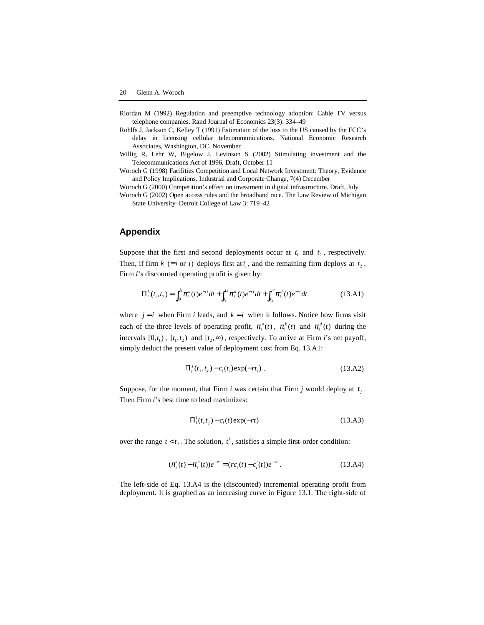- Riordan M (1992) Regulation and preemptive technology adoption: Cable TV versus telephone companies. Rand Journal of Economics 23(3): 334–49
- Rohlfs J, Jackson C, Kelley T (1991) Estimation of the loss to the US caused by the FCC's delay in licensing cellular telecommunications. National Economic Research Associates, Washington, DC, November
- Willig R, Lehr W, Bigelow J, Levinson S (2002) Stimulating investment and the Telecommunications Act of 1996. Draft, October 11
- Woroch G (1998) Facilities Competition and Local Network Investment: Theory, Evidence and Policy Implications. Industrial and Corporate Change, 7(4) December

Woroch G (2000) Competition's effect on investment in digital infrastructure. Draft, July

Woroch G (2002) Open access rules and the broadband race. The Law Review of Michigan State University–Detroit College of Law 3: 719–42

# **Appendix**

Suppose that the first and second deployments occur at  $t_1$  and  $t_2$ , respectively. Then, if firm  $k$  (= *i* or *j*) deploys first at  $t_1$ , and the remaining firm deploys at  $t_2$ , Firm *i*'s discounted operating profit is given by:

$$
\Pi_i^k(t_1, t_2) = \int_0^{t_1} \pi_i^n(t) e^{-rt} dt + \int_{t_1}^{t_2} \pi_i^k(t) e^{-rt} dt + \int_{t_2}^{\infty} \pi_i^d(t) e^{-rt} dt \tag{13.A1}
$$

where  $j = i$  when Firm *i* leads, and  $k = i$  when it follows. Notice how firms visit each of the three levels of operating profit,  $\pi_i^n(t)$ ,  $\pi_i^k(t)$  and  $\pi_i^d(t)$  during the intervals  $[0, t_1)$ ,  $[t_1, t_2)$  and  $[t_2, \infty)$ , respectively. To arrive at Firm *i*'s net payoff, simply deduct the present value of deployment cost from Eq. 13.A1:

$$
\Pi_i^j(t_j, t_k) - c_i(t_i) \exp(-rt_i) \tag{13.A2}
$$

Suppose, for the moment, that Firm  $i$  was certain that Firm  $j$  would deploy at  $t_i$ . Then Firm *i*'s best time to lead maximizes:

$$
\Pi_i^i(t, t_j) - c_i(t) \exp(-rt) \tag{13. A3}
$$

over the range  $t < t_j$ . The solution,  $t_i^l$ , satisfies a simple first-order condition:

$$
(\pi_i^i(t) - \pi_i^n(t))e^{-rt} = (rc_i(t) - c_i'(t))e^{-rt}.
$$
\n(13. A4)

The left-side of Eq. 13.A4 is the (discounted) incremental operating profit from deployment. It is graphed as an increasing curve in Figure 13.1. The right-side of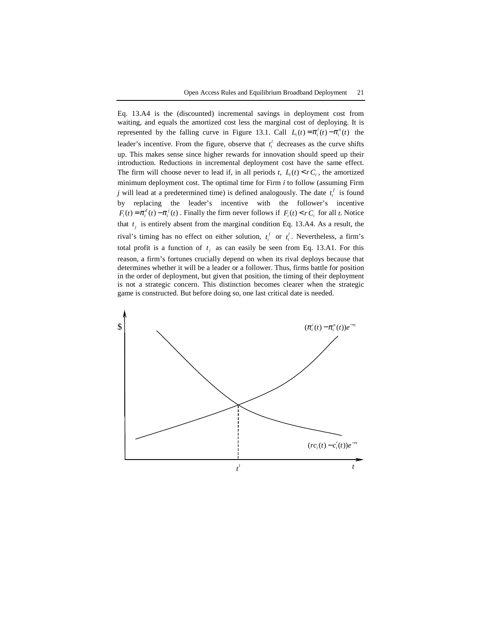Eq. 13.A4 is the (discounted) incremental savings in deployment cost from waiting, and equals the amortized cost less the marginal cost of deploying. It is represented by the falling curve in Figure 13.1. Call  $L_i(t) = \pi_i^i(t) - \pi_i^n(t)$  the leader's incentive. From the figure, observe that  $t_i^l$  decreases as the curve shifts up. This makes sense since higher rewards for innovation should speed up their introduction. Reductions in incremental deployment cost have the same effect. The firm will choose never to lead if, in all periods *t*,  $L_i(t) < rC_i$ , the amortized minimum deployment cost. The optimal time for Firm *i* to follow (assuming Firm *j* will lead at a predetermined time) is defined analogously. The date  $t_i^f$  is found by replacing the leader's incentive with the follower's incentive  $F_i(t) = \pi_i^d(t) - \pi_i^j(t)$ . Finally the firm never follows if  $F_i(t) < rC_i$  for all *t*. Notice that  $t_i$  is entirely absent from the marginal condition Eq. 13.A4. As a result, the rival's timing has no effect on either solution,  $t_i^f$  or  $t_i^f$ . Nevertheless, a firm's total profit is a function of  $t_j$  as can easily be seen from Eq. 13.A1. For this reason, a firm's fortunes crucially depend on when its rival deploys because that determines whether it will be a leader or a follower. Thus, firms battle for position in the order of deployment, but given that position, the timing of their deployment is not a strategic concern. This distinction becomes clearer when the strategic game is constructed. But before doing so, one last critical date is needed.

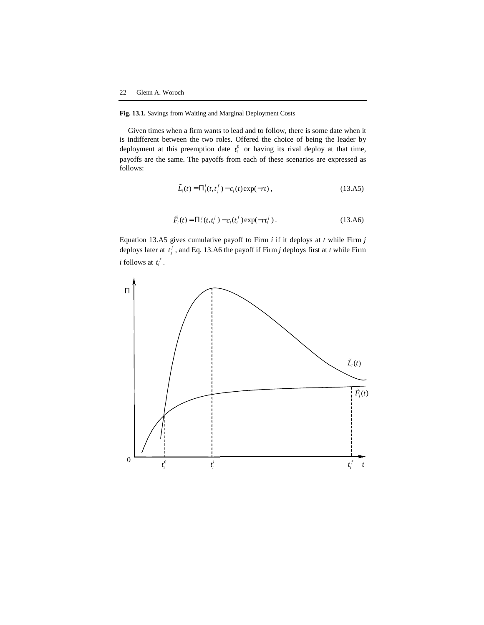# **Fig. 13.1.** Savings from Waiting and Marginal Deployment Costs

Given times when a firm wants to lead and to follow, there is some date when it is indifferent between the two roles. Offered the choice of being the leader by deployment at this preemption date  $t_i^0$  or having its rival deploy at that time, payoffs are the same. The payoffs from each of these scenarios are expressed as follows:

$$
\tilde{L}_i(t) = \Pi_i^i(t, t_j^f) - c_i(t) \exp(-rt) ,
$$
\n(13. A5)

$$
\tilde{F}_i(t) = \Pi_i^j(t, t_i^f) - c_i(t_i^f) \exp(-rt_i^f).
$$
\n(13.A6)

Equation 13.A5 gives cumulative payoff to Firm *i* if it deploys at *t* while Firm *j* deploys later at  $t_j^f$ , and Eq. 13.A6 the payoff if Firm *j* deploys first at *t* while Firm *i* follows at  $t_i^f$ .

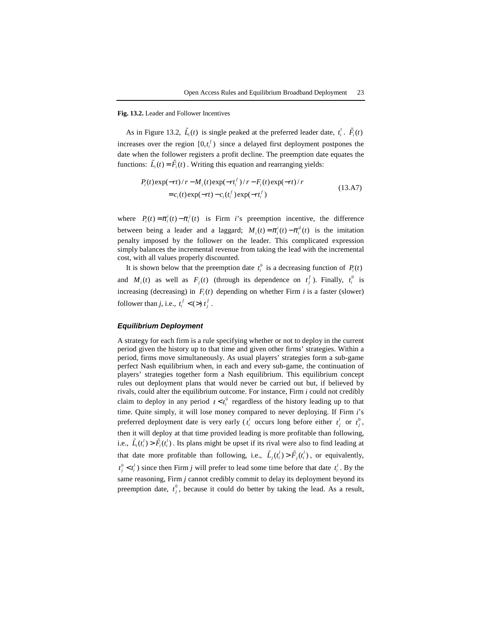#### **Fig. 13.2.** Leader and Follower Incentives

As in Figure 13.2,  $\tilde{L}_i(t)$  is single peaked at the preferred leader date,  $t_i^l$ .  $\tilde{F}_i(t)$ increases over the region  $[0, t_i^f)$  since a delayed first deployment postpones the date when the follower registers a profit decline. The preemption date equates the functions:  $\tilde{L}_i(t) = \tilde{F}_i(t)$ . Writing this equation and rearranging yields:

$$
P_i(t) \exp(-rt)/r - M_i(t) \exp(-rt_i^f)/r - F_i(t) \exp(-rt)/r
$$
  
= c<sub>i</sub>(t) \exp(-rt) - c<sub>i</sub>(t<sub>i</sub><sup>f</sup>) \exp(-rt<sub>i</sub><sup>f</sup>) (13.A7)

where  $P(t) = \pi^{i}(t) - \pi^{j}(t)$  is Firm *i*'s preemption incentive, the difference between being a leader and a laggard;  $M_i(t) = \pi_i^i(t) - \pi_i^d(t)$  is the imitation penalty imposed by the follower on the leader. This complicated expression simply balances the incremental revenue from taking the lead with the incremental cost, with all values properly discounted.

It is shown below that the preemption date  $t_i^0$  is a decreasing function of  $P_i(t)$ and  $M_i(t)$  as well as  $F_i(t)$  (through its dependence on  $t_i^f$ ). Finally,  $t_i^0$  is increasing (decreasing) in  $F_i(t)$  depending on whether Firm *i* is a faster (slower) follower than *j*, i.e.,  $t_i^f$  < (>)  $t_j^f$ .

# *Equilibrium Deployment*

A strategy for each firm is a rule specifying whether or not to deploy in the current period given the history up to that time and given other firms' strategies. Within a period, firms move simultaneously. As usual players' strategies form a sub-game perfect Nash equilibrium when, in each and every sub-game, the continuation of players' strategies together form a Nash equilibrium. This equilibrium concept rules out deployment plans that would never be carried out but, if believed by rivals, could alter the equilibrium outcome. For instance, Firm *i* could not credibly claim to deploy in any period  $t < t_i^0$  regardless of the history leading up to that time. Quite simply, it will lose money compared to never deploying. If Firm *i*'s preferred deployment date is very early ( $t_i^l$  occurs long before either  $t_j^l$  or  $t_j^0$ , then it will deploy at that time provided leading is more profitable than following, i.e.,  $\tilde{L}_i(t_i^l) > \tilde{F}_i(t_i^l)$ . Its plans might be upset if its rival were also to find leading at that date more profitable than following, i.e.,  $\tilde{L}_i(t_i^l) > \tilde{F}_j(t_i^l)$ , or equivalently,  $t_j^0 < t_i^1$ ) since then Firm *j* will prefer to lead some time before that date  $t_i^1$ . By the same reasoning, Firm *j* cannot credibly commit to delay its deployment beyond its preemption date,  $t_j^0$ , because it could do better by taking the lead. As a result,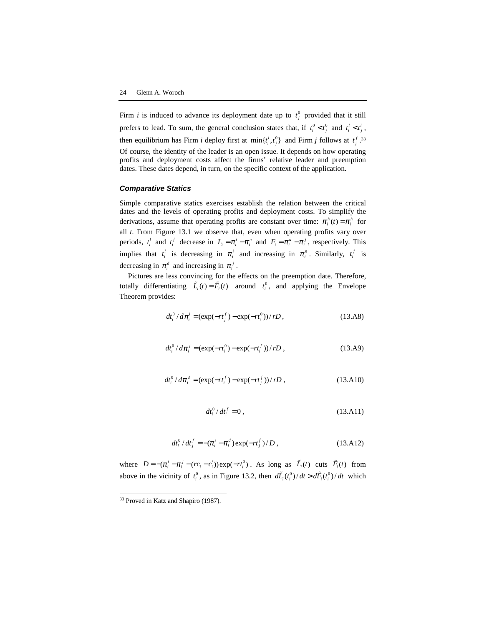Firm *i* is induced to advance its deployment date up to  $t_j^0$  provided that it still prefers to lead. To sum, the general conclusion states that, if  $t_i^0 < t_j^0$  and  $t_i^1 < t_j^1$ , then equilibrium has Firm *i* deploy first at  $\min\{t_i^l, t_j^0\}$  and Firm *j* follows at  $t_j^f$ .<sup>33</sup> Of course, the identity of the leader is an open issue. It depends on how operating profits and deployment costs affect the firms' relative leader and preemption dates. These dates depend, in turn, on the specific context of the application.

#### *Comparative Statics*

Simple comparative statics exercises establish the relation between the critical dates and the levels of operating profits and deployment costs. To simplify the derivations, assume that operating profits are constant over time:  $\pi_i^h(t) = \pi_i^h$  for all *t*. From Figure 13.1 we observe that, even when operating profits vary over periods,  $t_i^l$  and  $t_i^f$  decrease in  $L_i = \pi_i^i - \pi_i^n$  and  $F_i = \pi_i^d - \pi_i^j$ , respectively. This implies that  $t_i^l$  is decreasing in  $\pi_i^i$  and increasing in  $\pi_i^n$ . Similarly,  $t_i^f$  is decreasing in  $\pi_i^d$  and increasing in  $\pi_i^j$ .

Pictures are less convincing for the effects on the preemption date. Therefore, totally differentiating  $\tilde{L}_i(t) = \tilde{F}_i(t)$  around  $t_i^0$ , and applying the Envelope Theorem provides:

$$
dt_i^0 / d\pi_i^i = (\exp(-rt_j^f) - \exp(-rt_i^0))/rD, \qquad (13.A8)
$$

$$
dt_i^0 / d\pi_i^j = (\exp(-rt_i^0) - \exp(-rt_i^f))/rD , \qquad (13. A9)
$$

$$
dt_i^0 / d\pi_i^d = (\exp(-rt_i^f) - \exp(-rt_j^f))/rD , \qquad (13. A10)
$$

$$
dt_i^0 / dt_i^f = 0, \t\t(13. A11)
$$

$$
dt_i^0/dt_j^f = -(\pi_i^i - \pi_i^d) \exp(-rt_j^f)/D , \qquad (13. A12)
$$

where  $D = -(\pi_i^i - \pi_i^j - (rc_i - c_i^i))exp(-rt_i^0)$ . As long as  $\tilde{L}_i(t)$  cuts  $\tilde{F}_i(t)$  from above in the vicinity of  $t_i^0$ , as in Figure 13.2, then  $d\tilde{L}_i(t_i^0)/dt > d\tilde{F}_i(t_i^0)/dt$  which

1

<sup>33</sup> Proved in Katz and Shapiro (1987).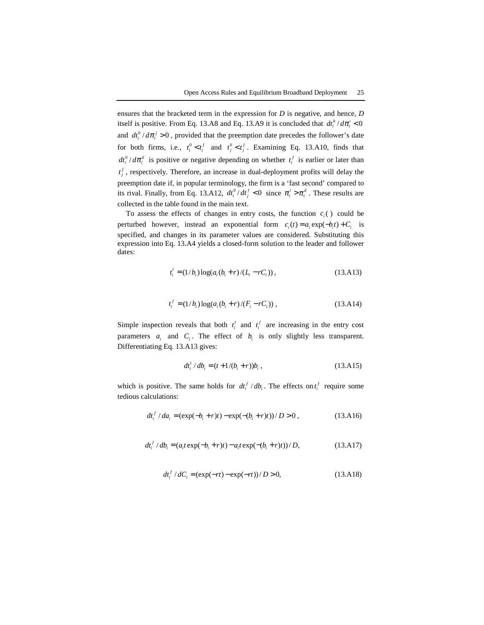ensures that the bracketed term in the expression for *D* is negative, and hence, *D* itself is positive. From Eq. 13.A8 and Eq. 13.A9 it is concluded that  $dt_i^0 / d\pi_i^i < 0$ and  $dt_i^0 / d\pi_i^j > 0$ , provided that the preemption date precedes the follower's date for both firms, i.e.,  $t_i^0 < t_i^f$  and  $t_j^0 < t_j^f$ . Examining Eq. 13.A10, finds that  $dt_i^0 / d\pi_i^d$  is positive or negative depending on whether  $t_i^f$  is earlier or later than  $t_j^f$ , respectively. Therefore, an increase in dual-deployment profits will delay the preemption date if, in popular terminology, the firm is a 'fast second' compared to its rival. Finally, from Eq. 13.A12,  $dt_i^0 / dt_j^f < 0$  since  $\pi_i^i > \pi_i^d$ . These results are collected in the table found in the main text.

To assess the effects of changes in entry costs, the function  $c_i$  () could be perturbed however, instead an exponential form  $c_i(t) = a_i \exp(-b_i t) + C_i$  is specified, and changes in its parameter values are considered. Substituting this expression into Eq. 13.A4 yields a closed-form solution to the leader and follower dates:

$$
t_i^l = (1/b_i) \log(a_i(b_i + r)/(L_i - rC_i)), \qquad (13.A13)
$$

$$
t_i^f = (1/b_i) \log(a_i (b_i + r)/(F_i - rC_i)), \qquad (13.414)
$$

Simple inspection reveals that both  $t_i^l$  and  $t_i^f$  are increasing in the entry cost parameters  $a_i$  and  $C_i$ . The effect of  $b_i$  is only slightly less transparent. Differentiating Eq. 13.A13 gives:

$$
dt_i^l / db_i = (t + 1/(b_i + r))b_i,
$$
 (13.A15)

which is positive. The same holds for  $dt_i^f/db_i$ . The effects on  $t_i^f$  require some tedious calculations:

$$
dt_i^f / da_i = (\exp(-b_i + r)t) - \exp(-(b_i + r)t) / D > 0, \qquad (13.A16)
$$

$$
dt_i^f / db_i = (a_i t \exp(-b_i + r)t) - a_i t \exp(-(b_i + r)t) / D,
$$
 (13. A17)

$$
dt_i^f / dC_i = (exp(-rt) - exp(-rt))/D > 0,
$$
 (13.A18)